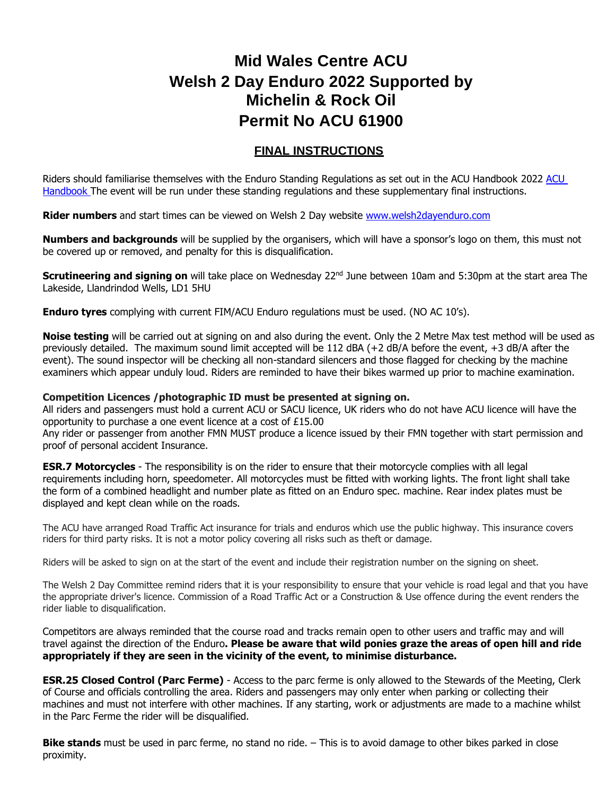## **Mid Wales Centre ACU Welsh 2 Day Enduro 2022 Supported by Michelin & Rock Oil Permit No ACU 61900**

## **FINAL INSTRUCTIONS**

Riders should familiarise themselves with the Enduro Standing Regulations as set out in the ACU Handbook 2022 [ACU](http://www.acu.org.uk/ridersmembers/acu-handbook.aspx)  [Handbook](http://www.acu.org.uk/ridersmembers/acu-handbook.aspx) The event will be run under these standing regulations and these supplementary final instructions.

Rider numbers and start times can be viewed on Welsh 2 Day website [www.welsh2dayenduro.com](http://www.welsh2dayenduro.com/)

**Numbers and backgrounds** will be supplied by the organisers, which will have a sponsor's logo on them, this must not be covered up or removed, and penalty for this is disqualification.

**Scrutineering and signing on** will take place on Wednesday 22<sup>nd</sup> June between 10am and 5:30pm at the start area The Lakeside, Llandrindod Wells, LD1 5HU

**Enduro tyres** complying with current FIM/ACU Enduro regulations must be used. (NO AC 10's).

**Noise testing** will be carried out at signing on and also during the event. Only the 2 Metre Max test method will be used as previously detailed. The maximum sound limit accepted will be 112 dBA (+2 dB/A before the event, +3 dB/A after the event). The sound inspector will be checking all non-standard silencers and those flagged for checking by the machine examiners which appear unduly loud. Riders are reminded to have their bikes warmed up prior to machine examination.

## **Competition Licences /photographic ID must be presented at signing on.**

All riders and passengers must hold a current ACU or SACU licence, UK riders who do not have ACU licence will have the opportunity to purchase a one event licence at a cost of £15.00

Any rider or passenger from another FMN MUST produce a licence issued by their FMN together with start permission and proof of personal accident Insurance.

**ESR.7 Motorcycles** - The responsibility is on the rider to ensure that their motorcycle complies with all legal requirements including horn, speedometer. All motorcycles must be fitted with working lights. The front light shall take the form of a combined headlight and number plate as fitted on an Enduro spec. machine. Rear index plates must be displayed and kept clean while on the roads.

The ACU have arranged Road Traffic Act insurance for trials and enduros which use the public highway. This insurance covers riders for third party risks. It is not a motor policy covering all risks such as theft or damage.

Riders will be asked to sign on at the start of the event and include their registration number on the signing on sheet.

The Welsh 2 Day Committee remind riders that it is your responsibility to ensure that your vehicle is road legal and that you have the appropriate driver's licence. Commission of a Road Traffic Act or a Construction & Use offence during the event renders the rider liable to disqualification.

Competitors are always reminded that the course road and tracks remain open to other users and traffic may and will travel against the direction of the Enduro**. Please be aware that wild ponies graze the areas of open hill and ride appropriately if they are seen in the vicinity of the event, to minimise disturbance.** 

**ESR.25 Closed Control (Parc Ferme)** - Access to the parc ferme is only allowed to the Stewards of the Meeting, Clerk of Course and officials controlling the area. Riders and passengers may only enter when parking or collecting their machines and must not interfere with other machines. If any starting, work or adjustments are made to a machine whilst in the Parc Ferme the rider will be disqualified.

**Bike stands** must be used in parc ferme, no stand no ride. – This is to avoid damage to other bikes parked in close proximity.